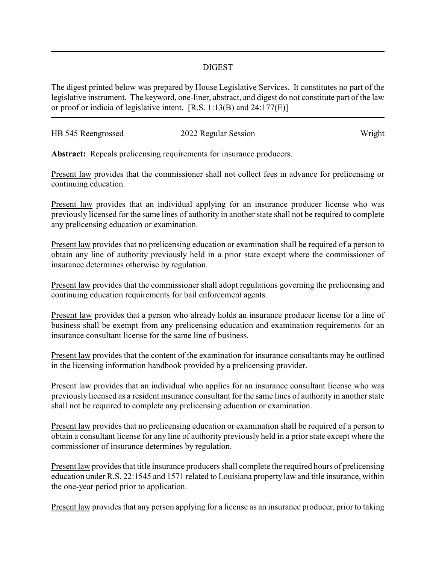## DIGEST

The digest printed below was prepared by House Legislative Services. It constitutes no part of the legislative instrument. The keyword, one-liner, abstract, and digest do not constitute part of the law or proof or indicia of legislative intent. [R.S. 1:13(B) and 24:177(E)]

| HB 545 Reengrossed | 2022 Regular Session | Wright |
|--------------------|----------------------|--------|
|                    |                      |        |

**Abstract:** Repeals prelicensing requirements for insurance producers.

Present law provides that the commissioner shall not collect fees in advance for prelicensing or continuing education.

Present law provides that an individual applying for an insurance producer license who was previously licensed for the same lines of authority in another state shall not be required to complete any prelicensing education or examination.

Present law provides that no prelicensing education or examination shall be required of a person to obtain any line of authority previously held in a prior state except where the commissioner of insurance determines otherwise by regulation.

Present law provides that the commissioner shall adopt regulations governing the prelicensing and continuing education requirements for bail enforcement agents.

Present law provides that a person who already holds an insurance producer license for a line of business shall be exempt from any prelicensing education and examination requirements for an insurance consultant license for the same line of business.

Present law provides that the content of the examination for insurance consultants may be outlined in the licensing information handbook provided by a prelicensing provider.

Present law provides that an individual who applies for an insurance consultant license who was previously licensed as a resident insurance consultant for the same lines of authority in another state shall not be required to complete any prelicensing education or examination.

Present law provides that no prelicensing education or examination shall be required of a person to obtain a consultant license for any line of authority previously held in a prior state except where the commissioner of insurance determines by regulation.

Present law provides that title insurance producers shall complete the required hours of prelicensing education under R.S. 22:1545 and 1571 related to Louisiana property law and title insurance, within the one-year period prior to application.

Present law provides that any person applying for a license as an insurance producer, prior to taking